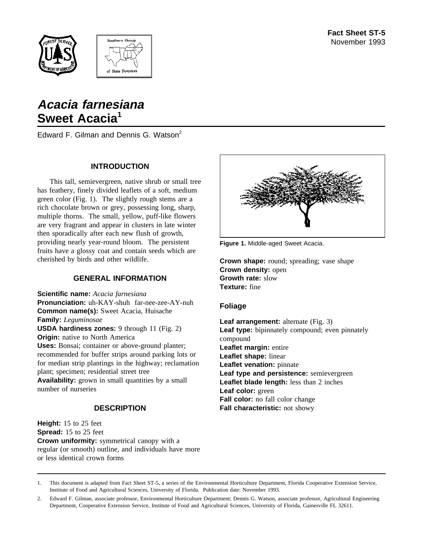



# **Acacia farnesiana** Sweet Acacia<sup>1</sup>

Edward F. Gilman and Dennis G. Watson<sup>2</sup>

### **INTRODUCTION**

This tall, semievergreen, native shrub or small tree has feathery, finely divided leaflets of a soft, medium green color (Fig. 1). The slightly rough stems are a rich chocolate brown or grey, possessing long, sharp, multiple thorns. The small, yellow, puff-like flowers are very fragrant and appear in clusters in late winter then sporadically after each new flush of growth, providing nearly year-round bloom. The persistent fruits have a glossy coat and contain seeds which are cherished by birds and other wildlife.

# **GENERAL INFORMATION**

**Scientific name:** *Acacia farnesiana* **Pronunciation:** uh-KAY-shuh far-nee-zee-AY-nuh **Common name(s):** Sweet Acacia, Huisache **Family:** *Leguminosae* **USDA hardiness zones:** 9 through 11 (Fig. 2) **Origin:** native to North America **Uses:** Bonsai; container or above-ground planter; recommended for buffer strips around parking lots or

for median strip plantings in the highway; reclamation plant; specimen; residential street tree

Availability: grown in small quantities by a small number of nurseries

### **DESCRIPTION**

**Height:** 15 to 25 feet **Spread:** 15 to 25 feet **Crown uniformity:** symmetrical canopy with a regular (or smooth) outline, and individuals have more or less identical crown forms



**Figure 1.** Middle-aged Sweet Acacia.

**Crown shape:** round; spreading; vase shape **Crown density:** open **Growth rate:** slow **Texture:** fine

#### **Foliage**

**Leaf arrangement:** alternate (Fig. 3) **Leaf type:** bipinnately compound; even pinnately compound **Leaflet margin:** entire **Leaflet shape:** linear **Leaflet venation:** pinnate **Leaf type and persistence:** semievergreen **Leaflet blade length:** less than 2 inches **Leaf color:** green **Fall color:** no fall color change **Fall characteristic:** not showy

<sup>1.</sup> This document is adapted from Fact Sheet ST-5, a series of the Environmental Horticulture Department, Florida Cooperative Extension Service, Institute of Food and Agricultural Sciences, University of Florida. Publication date: November 1993.

<sup>2.</sup> Edward F. Gilman, associate professor, Environmental Horticulture Department; Dennis G. Watson, associate professor, Agricultural Engineering Department, Cooperative Extension Service, Institute of Food and Agricultural Sciences, University of Florida, Gainesville FL 32611.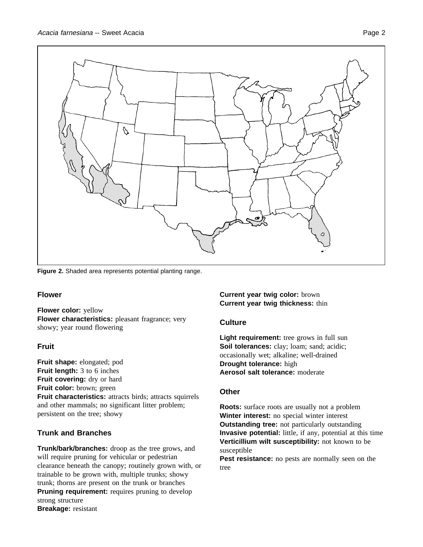

**Figure 2.** Shaded area represents potential planting range.

# **Flower**

**Flower color:** yellow **Flower characteristics:** pleasant fragrance; very showy; year round flowering

# **Fruit**

**Fruit shape:** elongated; pod **Fruit length:** 3 to 6 inches Fruit covering: dry or hard **Fruit color:** brown; green **Fruit characteristics:** attracts birds; attracts squirrels and other mammals; no significant litter problem; persistent on the tree; showy

# **Trunk and Branches**

**Trunk/bark/branches:** droop as the tree grows, and will require pruning for vehicular or pedestrian clearance beneath the canopy; routinely grown with, or trainable to be grown with, multiple trunks; showy trunk; thorns are present on the trunk or branches **Pruning requirement:** requires pruning to develop strong structure **Breakage:** resistant

**Current year twig color:** brown **Current year twig thickness:** thin

#### **Culture**

**Light requirement:** tree grows in full sun **Soil tolerances:** clay; loam; sand; acidic; occasionally wet; alkaline; well-drained **Drought tolerance:** high **Aerosol salt tolerance:** moderate

#### **Other**

**Roots:** surface roots are usually not a problem **Winter interest:** no special winter interest **Outstanding tree:** not particularly outstanding **Invasive potential:** little, if any, potential at this time **Verticillium wilt susceptibility:** not known to be susceptible

**Pest resistance:** no pests are normally seen on the tree